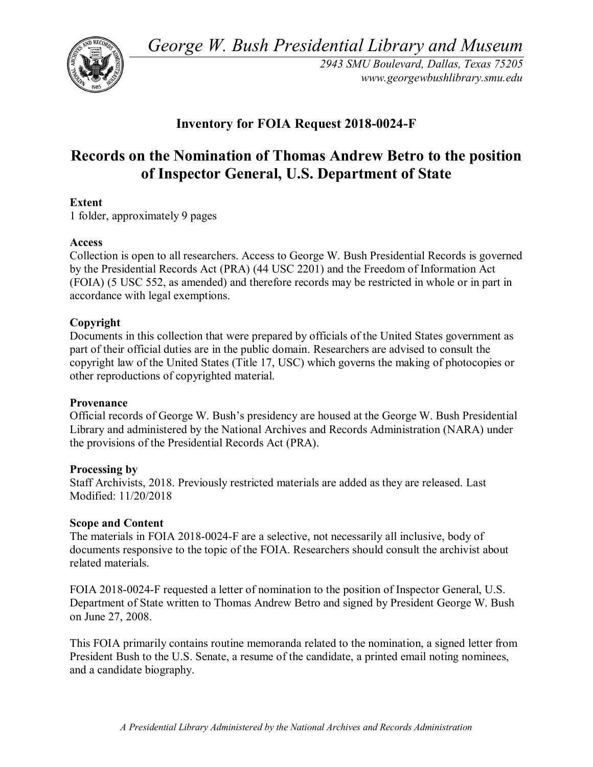*George W. Bush Presidential Library and Museum* 



*2943 SMU Boulevard, Dallas, Texas 75205 <www.georgewbushlibrary.smu.edu>*

# **Inventory for FOIA Request 2018-0024-F**

# **Records on the Nomination of Thomas Andrew Betro to the position of Inspector General, U.S. Department of State**

## **Extent**

1 folder, approximately 9 pages

#### **Access**

 Collection is open to all researchers. Access to George W. Bush Presidential Records is governed by the Presidential Records Act (PRA) (44 USC 2201) and the Freedom of Information Act (FOIA) (5 USC 552, as amended) and therefore records may be restricted in whole or in part in accordance with legal exemptions.

## **Copyright**

Documents in this collection that were prepared by officials of the United States government as part of their official duties are in the public domain. Researchers are advised to consult the copyright law of the United States (Title 17, USC) which governs the making of photocopies or other reproductions of copyrighted material.

#### **Provenance**

Official records of George W. Bush's presidency are housed at the George W. Bush Presidential Library and administered by the National Archives and Records Administration (NARA) under the provisions of the Presidential Records Act (PRA).

#### **Processing by**

Staff Archivists, 2018. Previously restricted materials are added as they are released. Last Modified: 11/20/2018

#### **Scope and Content**

The materials in FOIA 2018-0024-F are a selective, not necessarily all inclusive, body of documents responsive to the topic of the FOIA. Researchers should consult the archivist about related materials.

FOIA 2018-0024-F requested a letter of nomination to the position of Inspector General, U.S. Department of State written to Thomas Andrew Betro and signed by President George W. Bush on June 27, 2008.

 This FOIA primarily contains routine memoranda related to the nomination, a signed letter from President Bush to the U.S. Senate, a resume of the candidate, a printed email noting nominees, and a candidate biography.